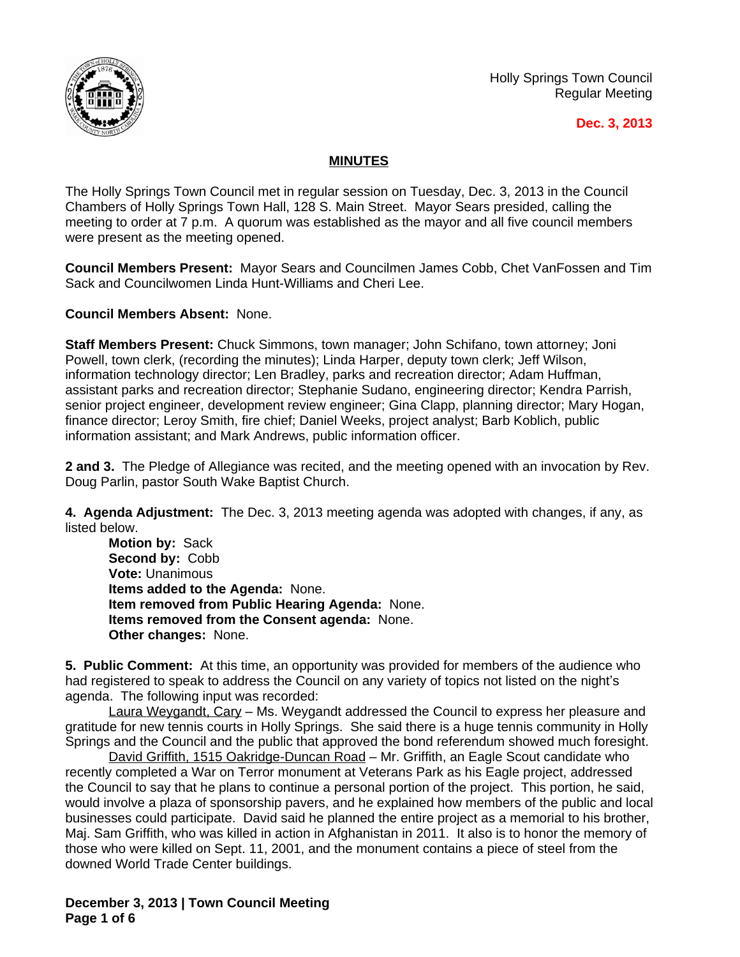

Holly Springs Town Council Regular Meeting

## **Dec. 3, 2013**

## **MINUTES**

The Holly Springs Town Council met in regular session on Tuesday, Dec. 3, 2013 in the Council Chambers of Holly Springs Town Hall, 128 S. Main Street. Mayor Sears presided, calling the meeting to order at 7 p.m. A quorum was established as the mayor and all five council members were present as the meeting opened.

**Council Members Present:** Mayor Sears and Councilmen James Cobb, Chet VanFossen and Tim Sack and Councilwomen Linda Hunt-Williams and Cheri Lee.

**Council Members Absent:** None.

**Staff Members Present:** Chuck Simmons, town manager; John Schifano, town attorney; Joni Powell, town clerk, (recording the minutes); Linda Harper, deputy town clerk; Jeff Wilson, information technology director; Len Bradley, parks and recreation director; Adam Huffman, assistant parks and recreation director; Stephanie Sudano, engineering director; Kendra Parrish, senior project engineer, development review engineer; Gina Clapp, planning director; Mary Hogan, finance director; Leroy Smith, fire chief; Daniel Weeks, project analyst; Barb Koblich, public information assistant; and Mark Andrews, public information officer.

**2 and 3.** The Pledge of Allegiance was recited, and the meeting opened with an invocation by Rev. Doug Parlin, pastor South Wake Baptist Church.

**4. Agenda Adjustment:** The Dec. 3, 2013 meeting agenda was adopted with changes, if any, as listed below.

**Motion by:** Sack **Second by:** Cobb **Vote:** Unanimous **Items added to the Agenda:** None. **Item removed from Public Hearing Agenda:** None. **Items removed from the Consent agenda:** None. **Other changes:** None.

**5. Public Comment:** At this time, an opportunity was provided for members of the audience who had registered to speak to address the Council on any variety of topics not listed on the night's agenda. The following input was recorded:

Laura Weygandt, Cary - Ms. Weygandt addressed the Council to express her pleasure and gratitude for new tennis courts in Holly Springs. She said there is a huge tennis community in Holly Springs and the Council and the public that approved the bond referendum showed much foresight.

David Griffith, 1515 Oakridge-Duncan Road - Mr. Griffith, an Eagle Scout candidate who recently completed a War on Terror monument at Veterans Park as his Eagle project, addressed the Council to say that he plans to continue a personal portion of the project. This portion, he said, would involve a plaza of sponsorship pavers, and he explained how members of the public and local businesses could participate. David said he planned the entire project as a memorial to his brother, Maj. Sam Griffith, who was killed in action in Afghanistan in 2011. It also is to honor the memory of those who were killed on Sept. 11, 2001, and the monument contains a piece of steel from the downed World Trade Center buildings.

**December 3, 2013 | Town Council Meeting Page 1 of 6**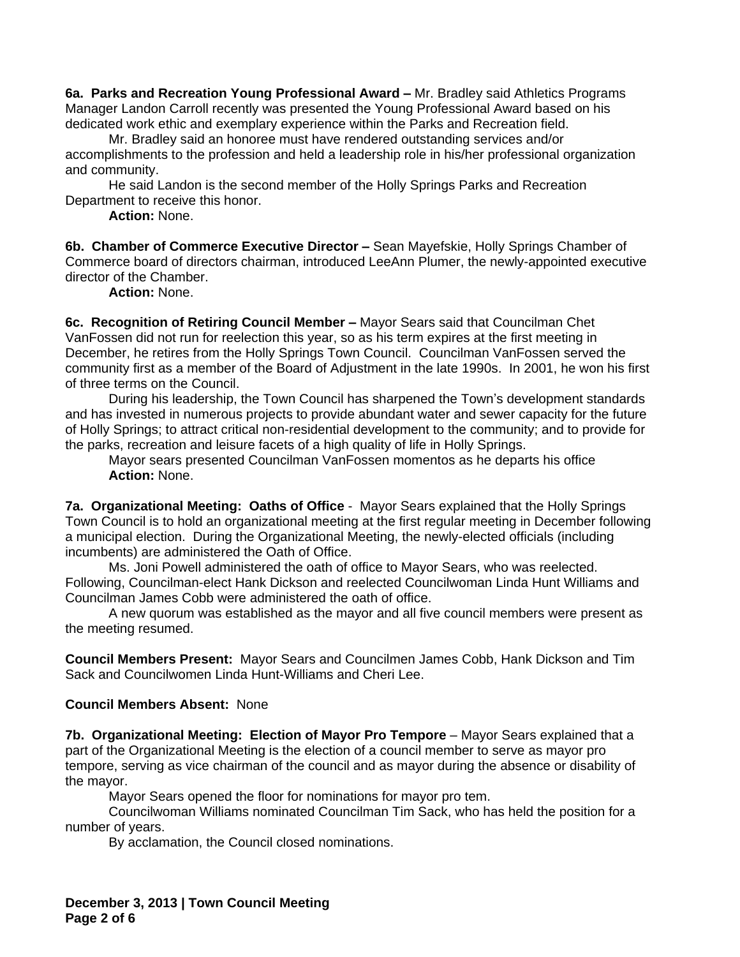**6a. Parks and Recreation Young Professional Award –** Mr. Bradley said Athletics Programs Manager Landon Carroll recently was presented the Young Professional Award based on his dedicated work ethic and exemplary experience within the Parks and Recreation field.

Mr. Bradley said an honoree must have rendered outstanding services and/or accomplishments to the profession and held a leadership role in his/her professional organization and community.

He said Landon is the second member of the Holly Springs Parks and Recreation Department to receive this honor.

**Action:** None.

**6b. Chamber of Commerce Executive Director –** Sean Mayefskie, Holly Springs Chamber of Commerce board of directors chairman, introduced LeeAnn Plumer, the newly-appointed executive director of the Chamber.

**Action:** None.

**6c. Recognition of Retiring Council Member –** Mayor Sears said that Councilman Chet VanFossen did not run for reelection this year, so as his term expires at the first meeting in December, he retires from the Holly Springs Town Council. Councilman VanFossen served the community first as a member of the Board of Adjustment in the late 1990s. In 2001, he won his first of three terms on the Council.

During his leadership, the Town Council has sharpened the Town's development standards and has invested in numerous projects to provide abundant water and sewer capacity for the future of Holly Springs; to attract critical non-residential development to the community; and to provide for the parks, recreation and leisure facets of a high quality of life in Holly Springs.

Mayor sears presented Councilman VanFossen momentos as he departs his office **Action:** None.

**7a. Organizational Meeting: Oaths of Office** - Mayor Sears explained that the Holly Springs Town Council is to hold an organizational meeting at the first regular meeting in December following a municipal election. During the Organizational Meeting, the newly-elected officials (including incumbents) are administered the Oath of Office.

Ms. Joni Powell administered the oath of office to Mayor Sears, who was reelected. Following, Councilman-elect Hank Dickson and reelected Councilwoman Linda Hunt Williams and Councilman James Cobb were administered the oath of office.

A new quorum was established as the mayor and all five council members were present as the meeting resumed.

**Council Members Present:** Mayor Sears and Councilmen James Cobb, Hank Dickson and Tim Sack and Councilwomen Linda Hunt-Williams and Cheri Lee.

## **Council Members Absent:** None

**7b. Organizational Meeting: Election of Mayor Pro Tempore** – Mayor Sears explained that a part of the Organizational Meeting is the election of a council member to serve as mayor pro tempore, serving as vice chairman of the council and as mayor during the absence or disability of the mayor.

Mayor Sears opened the floor for nominations for mayor pro tem.

Councilwoman Williams nominated Councilman Tim Sack, who has held the position for a number of years.

By acclamation, the Council closed nominations.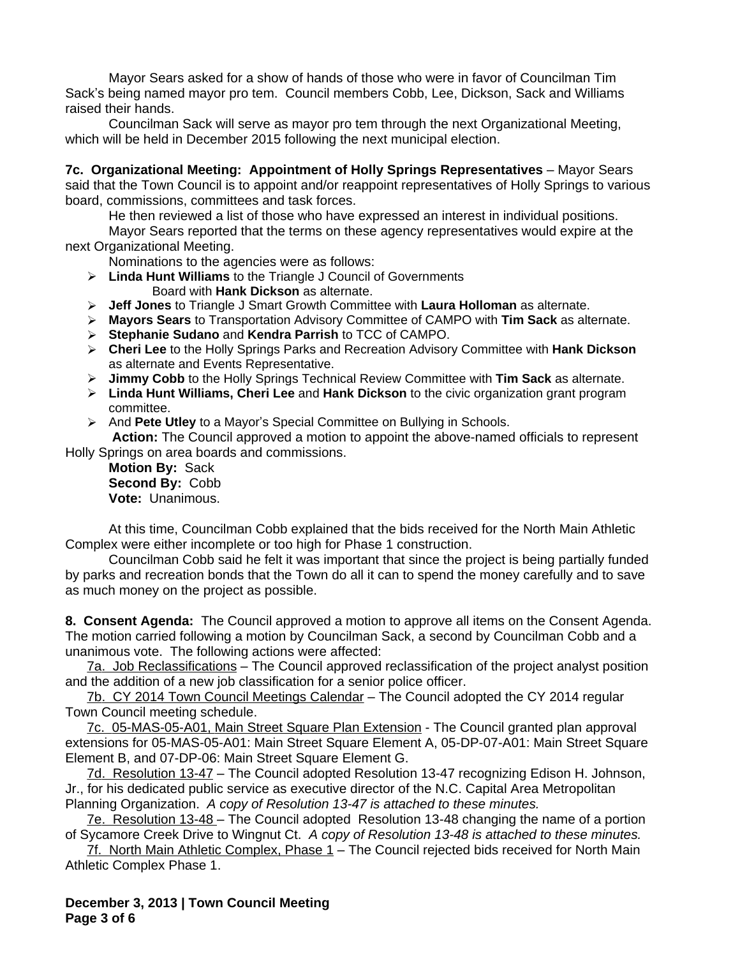Mayor Sears asked for a show of hands of those who were in favor of Councilman Tim Sack's being named mayor pro tem. Council members Cobb, Lee, Dickson, Sack and Williams raised their hands.

Councilman Sack will serve as mayor pro tem through the next Organizational Meeting, which will be held in December 2015 following the next municipal election.

**7c. Organizational Meeting: Appointment of Holly Springs Representatives** – Mayor Sears said that the Town Council is to appoint and/or reappoint representatives of Holly Springs to various board, commissions, committees and task forces.

He then reviewed a list of those who have expressed an interest in individual positions.

Mayor Sears reported that the terms on these agency representatives would expire at the next Organizational Meeting.

Nominations to the agencies were as follows:

- **Linda Hunt Williams** to the Triangle J Council of Governments Board with **Hank Dickson** as alternate.
- **Jeff Jones** to Triangle J Smart Growth Committee with **Laura Holloman** as alternate.
- **Mayors Sears** to Transportation Advisory Committee of CAMPO with **Tim Sack** as alternate.
- **Stephanie Sudano** and **Kendra Parrish** to TCC of CAMPO.
- **Cheri Lee** to the Holly Springs Parks and Recreation Advisory Committee with **Hank Dickson** as alternate and Events Representative.
- **Jimmy Cobb** to the Holly Springs Technical Review Committee with **Tim Sack** as alternate.
- **Linda Hunt Williams, Cheri Lee** and **Hank Dickson** to the civic organization grant program committee.
- And **Pete Utley** to a Mayor's Special Committee on Bullying in Schools.

**Action:** The Council approved a motion to appoint the above-named officials to represent Holly Springs on area boards and commissions.

**Motion By:** Sack **Second By:** Cobb **Vote:** Unanimous.

At this time, Councilman Cobb explained that the bids received for the North Main Athletic Complex were either incomplete or too high for Phase 1 construction.

Councilman Cobb said he felt it was important that since the project is being partially funded by parks and recreation bonds that the Town do all it can to spend the money carefully and to save as much money on the project as possible.

**8. Consent Agenda:** The Council approved a motion to approve all items on the Consent Agenda. The motion carried following a motion by Councilman Sack, a second by Councilman Cobb and a unanimous vote. The following actions were affected:

7a. Job Reclassifications – The Council approved reclassification of the project analyst position and the addition of a new job classification for a senior police officer.

7b. CY 2014 Town Council Meetings Calendar – The Council adopted the CY 2014 regular Town Council meeting schedule.

7c. 05-MAS-05-A01, Main Street Square Plan Extension - The Council granted plan approval extensions for 05-MAS-05-A01: Main Street Square Element A, 05-DP-07-A01: Main Street Square Element B, and 07-DP-06: Main Street Square Element G.

7d. Resolution 13-47 – The Council adopted Resolution 13-47 recognizing Edison H. Johnson, Jr., for his dedicated public service as executive director of the N.C. Capital Area Metropolitan Planning Organization. *A copy of Resolution 13-47 is attached to these minutes.*

7e. Resolution 13-48 – The Council adopted Resolution 13-48 changing the name of a portion of Sycamore Creek Drive to Wingnut Ct. *A copy of Resolution 13-48 is attached to these minutes.*

7f. North Main Athletic Complex, Phase 1 - The Council rejected bids received for North Main Athletic Complex Phase 1.

**December 3, 2013 | Town Council Meeting Page 3 of 6**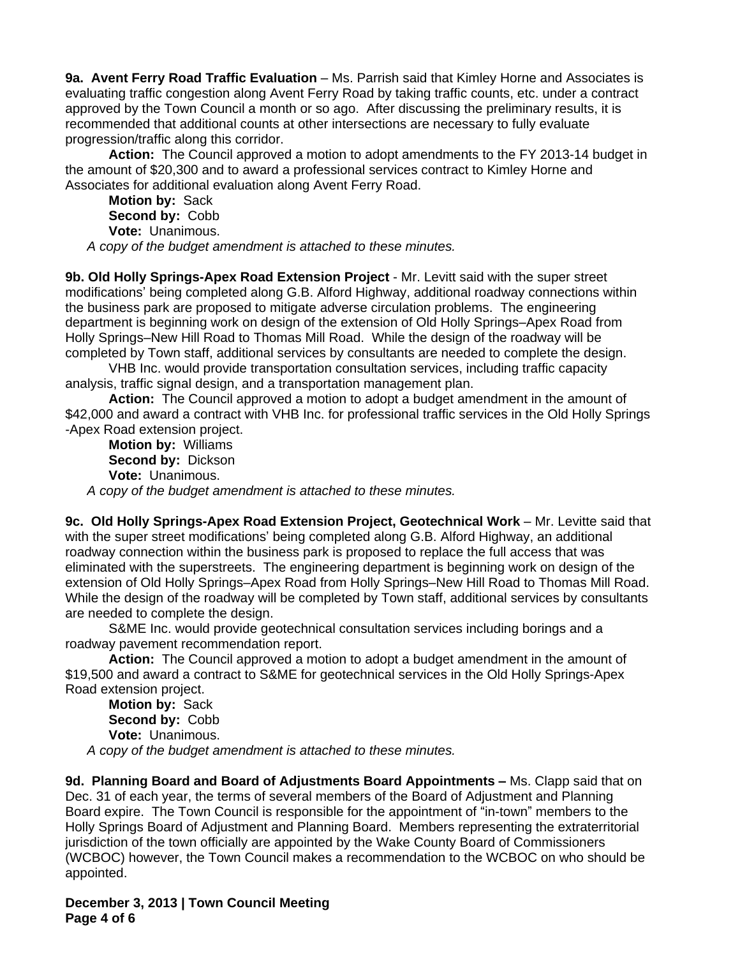**9a. Avent Ferry Road Traffic Evaluation** – Ms. Parrish said that Kimley Horne and Associates is evaluating traffic congestion along Avent Ferry Road by taking traffic counts, etc. under a contract approved by the Town Council a month or so ago. After discussing the preliminary results, it is recommended that additional counts at other intersections are necessary to fully evaluate progression/traffic along this corridor.

**Action:** The Council approved a motion to adopt amendments to the FY 2013-14 budget in the amount of \$20,300 and to award a professional services contract to Kimley Horne and Associates for additional evaluation along Avent Ferry Road.

**Motion by:** Sack **Second by:** Cobb **Vote:** Unanimous.

*A copy of the budget amendment is attached to these minutes.*

**9b. Old Holly Springs-Apex Road Extension Project** - Mr. Levitt said with the super street modifications' being completed along G.B. Alford Highway, additional roadway connections within the business park are proposed to mitigate adverse circulation problems. The engineering department is beginning work on design of the extension of Old Holly Springs–Apex Road from Holly Springs–New Hill Road to Thomas Mill Road. While the design of the roadway will be completed by Town staff, additional services by consultants are needed to complete the design.

VHB Inc. would provide transportation consultation services, including traffic capacity analysis, traffic signal design, and a transportation management plan.

**Action:** The Council approved a motion to adopt a budget amendment in the amount of \$42,000 and award a contract with VHB Inc. for professional traffic services in the Old Holly Springs -Apex Road extension project.

**Motion by:** Williams **Second by:** Dickson **Vote:** Unanimous. *A copy of the budget amendment is attached to these minutes.*

**9c. Old Holly Springs-Apex Road Extension Project, Geotechnical Work** – Mr. Levitte said that with the super street modifications' being completed along G.B. Alford Highway, an additional roadway connection within the business park is proposed to replace the full access that was eliminated with the superstreets. The engineering department is beginning work on design of the extension of Old Holly Springs–Apex Road from Holly Springs–New Hill Road to Thomas Mill Road. While the design of the roadway will be completed by Town staff, additional services by consultants are needed to complete the design.

S&ME Inc. would provide geotechnical consultation services including borings and a roadway pavement recommendation report.

**Action:** The Council approved a motion to adopt a budget amendment in the amount of \$19,500 and award a contract to S&ME for geotechnical services in the Old Holly Springs-Apex Road extension project.

**Motion by:** Sack **Second by:** Cobb **Vote:** Unanimous. *A copy of the budget amendment is attached to these minutes.*

**9d. Planning Board and Board of Adjustments Board Appointments –** Ms. Clapp said that on Dec. 31 of each year, the terms of several members of the Board of Adjustment and Planning Board expire. The Town Council is responsible for the appointment of "in-town" members to the Holly Springs Board of Adjustment and Planning Board. Members representing the extraterritorial jurisdiction of the town officially are appointed by the Wake County Board of Commissioners (WCBOC) however, the Town Council makes a recommendation to the WCBOC on who should be appointed.

**December 3, 2013 | Town Council Meeting Page 4 of 6**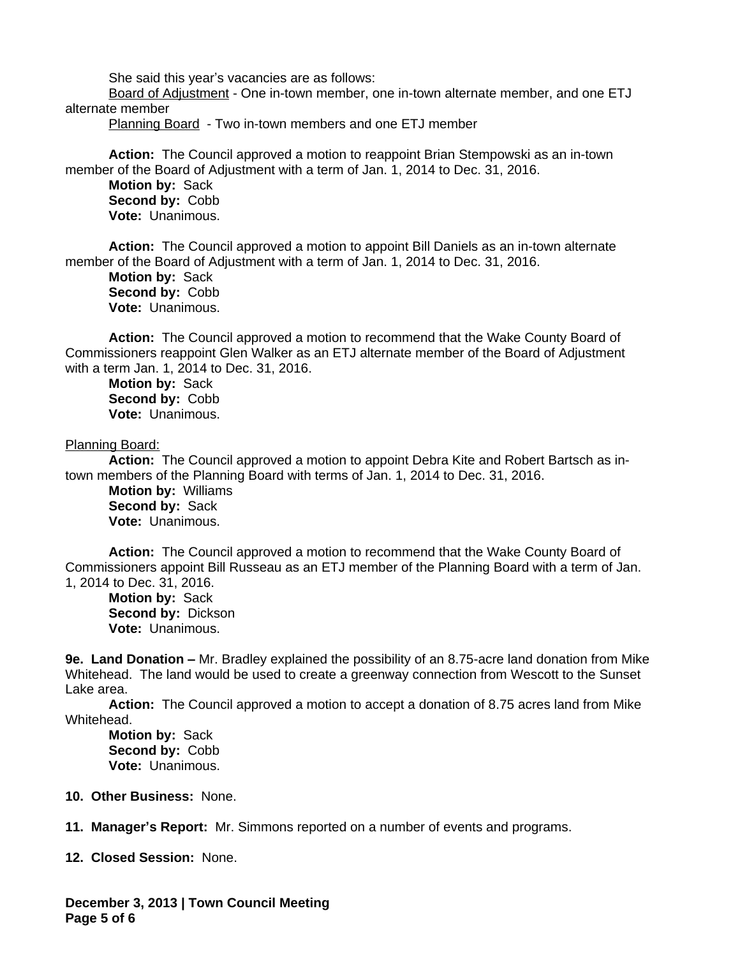She said this year's vacancies are as follows:

Board of Adjustment - One in-town member, one in-town alternate member, and one ETJ alternate member

Planning Board - Two in-town members and one ETJ member

**Action:** The Council approved a motion to reappoint Brian Stempowski as an in-town member of the Board of Adjustment with a term of Jan. 1, 2014 to Dec. 31, 2016.

**Motion by:** Sack **Second by:** Cobb **Vote:** Unanimous.

**Action:** The Council approved a motion to appoint Bill Daniels as an in-town alternate member of the Board of Adjustment with a term of Jan. 1, 2014 to Dec. 31, 2016.

**Motion by:** Sack **Second by:** Cobb **Vote:** Unanimous.

**Action:** The Council approved a motion to recommend that the Wake County Board of Commissioners reappoint Glen Walker as an ETJ alternate member of the Board of Adjustment with a term Jan. 1, 2014 to Dec. 31, 2016.

**Motion by:** Sack **Second by:** Cobb **Vote:** Unanimous.

## Planning Board:

**Action:** The Council approved a motion to appoint Debra Kite and Robert Bartsch as intown members of the Planning Board with terms of Jan. 1, 2014 to Dec. 31, 2016.

**Motion by:** Williams **Second by:** Sack **Vote:** Unanimous.

**Action:** The Council approved a motion to recommend that the Wake County Board of Commissioners appoint Bill Russeau as an ETJ member of the Planning Board with a term of Jan. 1, 2014 to Dec. 31, 2016.

**Motion by:** Sack **Second by:** Dickson **Vote:** Unanimous.

**9e. Land Donation –** Mr. Bradley explained the possibility of an 8.75-acre land donation from Mike Whitehead. The land would be used to create a greenway connection from Wescott to the Sunset Lake area.

**Action:** The Council approved a motion to accept a donation of 8.75 acres land from Mike Whitehead.

**Motion by:** Sack **Second by:** Cobb **Vote:** Unanimous.

- **10. Other Business:** None.
- **11. Manager's Report:** Mr. Simmons reported on a number of events and programs.

**12. Closed Session:** None.